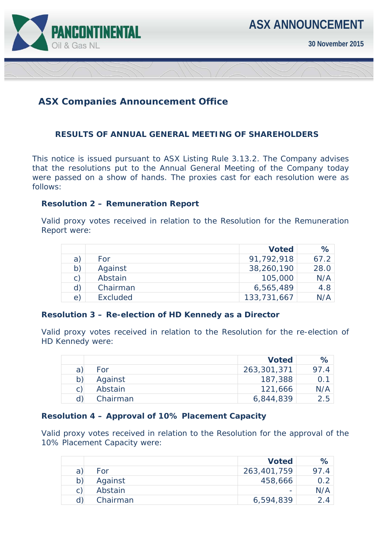

# **ASX Companies Announcement Office**

## **RESULTS OF ANNUAL GENERAL MEETING OF SHAREHOLDERS**

This notice is issued pursuant to ASX Listing Rule 3.13.2. The Company advises that the resolutions put to the Annual General Meeting of the Company today were passed on a show of hands. The proxies cast for each resolution were as follows:

## **Resolution 2 – Remuneration Report**

Valid proxy votes received in relation to the Resolution for the Remuneration Report were:

|                |          | <b>Voted</b> | %    |
|----------------|----------|--------------|------|
| a)             | For      | 91,792,918   | 67.2 |
| b)             | Against  | 38,260,190   | 28.0 |
| $\mathsf{C}$ ) | Abstain  | 105,000      | N/A  |
| d)             | Chairman | 6,565,489    | 4.8  |
| $\epsilon$     | Excluded | 133,731,667  | N/A  |

#### **Resolution 3 – Re-election of HD Kennedy as a Director**

Valid proxy votes received in relation to the Resolution for the re-election of HD Kennedy were:

|   |          | <b>Voted</b> | ℅   |
|---|----------|--------------|-----|
| a | For      | 263,301,371  | 974 |
| b | Against  | 187,388      |     |
|   | Abstain  | 121,666      | N/A |
|   | Chairman | 6,844,839    | 2.5 |

## **Resolution 4 – Approval of 10% Placement Capacity**

Valid proxy votes received in relation to the Resolution for the approval of the 10% Placement Capacity were:

|   |          | <b>Voted</b> | $\%$ |
|---|----------|--------------|------|
| a | For      | 263,401,759  | 97.4 |
|   | Against  | 458,666      | 0.2  |
|   | Abstain  | -            | N/A  |
|   | Chairman | 6,594,839    | 24   |